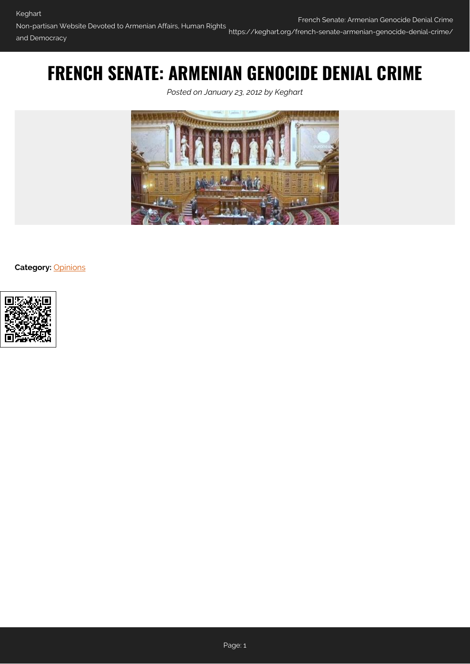# **FRENCH SENATE: ARMENIAN GENOCIDE DENIAL CRIME**

*Posted on January 23, 2012 by Keghart*



**Category:** [Opinions](https://keghart.org/category/opinions/)

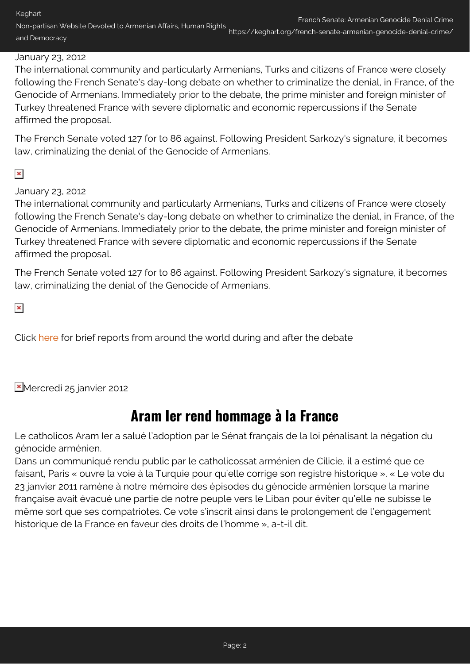Keghart Non-partisan Website Devoted to Armenian Affairs, Human Rights French Senate: Armenian Genocide Denial Crime and Democracy https://keghart.org/french-senate-armenian-genocide-denial-crime/

#### January 23, 2012

The international community and particularly Armenians, Turks and citizens of France were closely following the French Senate's day-long debate on whether to criminalize the denial, in France, of the Genocide of Armenians. Immediately prior to the debate, the prime minister and foreign minister of Turkey threatened France with severe diplomatic and economic repercussions if the Senate affirmed the proposal.

The French Senate voted 127 for to 86 against. Following President Sarkozy's signature, it becomes law, criminalizing the denial of the Genocide of Armenians.

### $\pmb{\times}$

January 23, 2012

The international community and particularly Armenians, Turks and citizens of France were closely following the French Senate's day-long debate on whether to criminalize the denial, in France, of the Genocide of Armenians. Immediately prior to the debate, the prime minister and foreign minister of Turkey threatened France with severe diplomatic and economic repercussions if the Senate affirmed the proposal.

The French Senate voted 127 for to 86 against. Following President Sarkozy's signature, it becomes law, criminalizing the denial of the Genocide of Armenians.

 $\pmb{\times}$ 

Click [here](#page-2-0) for brief reports from around the world during and after the debate

Mercredi 25 janvier 2012

### **Aram Ier rend hommage à la France**

Le catholicos Aram Ier a salué l'adoption par le Sénat français de la loi pénalisant la négation du génocide arménien.

Dans un communiqué rendu public par le catholicossat arménien de Cilicie, il a estimé que ce faisant, Paris « ouvre la voie à la Turquie pour qu'elle corrige son registre historique ». « Le vote du 23 janvier 2011 ramène à notre mémoire des épisodes du génocide arménien lorsque la marine française avait évacué une partie de notre peuple vers le Liban pour éviter qu'elle ne subisse le même sort que ses compatriotes. Ce vote s'inscrit ainsi dans le prolongement de l'engagement historique de la France en faveur des droits de l'homme », a-t-il dit.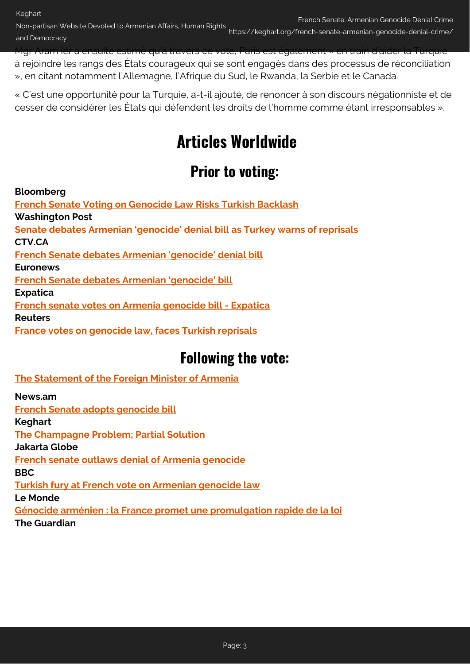Non-partisan Website Devoted to Armenian Affairs, Human Rights French Senate: Armenian Genocide Denial Crime and Democracy https://keghart.org/french-senate-armenian-genocide-denial-crime/

Mgr Aram Ier a ensuite estimé qu'à travers ce vote, Paris est également « en train d'aider la Turquie à rejoindre les rangs des États courageux qui se sont engagés dans des processus de réconciliation », en citant notamment l'Allemagne, l'Afrique du Sud, le Rwanda, la Serbie et le Canada.

<span id="page-2-0"></span>« C'est une opportunité pour la Turquie, a-t-il ajouté, de renoncer à son discours négationniste et de cesser de considérer les États qui défendent les droits de l'homme comme étant irresponsables ».

# **Articles Worldwide**

## **Prior to voting:**

**Bloomberg**

**[News.am](http://www.mfa.am/en/interviews/item/2012/01/24/n_comm/)**

**[French Senate Voting on Genocide Law Risks Turkish Backlash](http://www.bloomberg.com/news/2012-01-23/french-senate-poised-for-genocide-vote-risking-turkish-backlash.html) Washington Post [Senate debates Armenian 'genocide' denial bill as Turkey warns of reprisals](http://www.washingtonpost.com/world/middle-east/french-senate-debates-armenian-genocide-denial-bill-as-turkey-warns-of-reprisals/2012/01/23/gIQAtI9zKQ_story.html) CTV.CA [French Senate debates Armenian 'genocide' denial bill](http://www.ctv.ca/CTVNews/TopStories/20120123/turkey-french-genocide-bill-120123/) Euronews [French Senate debates Armenian 'genocide' bill](http://www.euronews.net/2012/01/23/french-senate-debates-armenian-genocide-bill/) Expatica [French senate votes on Armenia genocide bill - Expatica](http://www.expatica.com/fr/news/french-news/french-senate-votes-on-armenia-genocide-bill_203132.html) Reuters [France votes on genocide law, faces Turkish reprisals](http://www.reuters.com/article/2012/01/23/us-france-turkey-genocide-idUSTRE80M1MW20120123)**

## **Following the vote:**

**[The Statement of the Foreign Minister of Armenia](http://www.mfa.am/en/interviews/item/2012/01/24/n_comm/)**

**[French Senate adopts genocide bill](http://news.am/eng/news/90344.html) Keghart [The Champagne Problem; Partial Solution](http://www.keghart.com/Kevorkian-France) Jakarta Globe [French senate outlaws denial of Armenia genocide](http://www.thejakartaglobe.com/afp/french-senate-outlaws-denial-of-armenia-genocide/493214) BBC [Turkish fury at French vote on Armenian genocide law](http://www.bbc.co.uk/news/world-europe-16695133) Le Monde [Génocide arménien : la France promet une promulgation rapide de la loi](http://www.lemonde.fr/europe/article/2012/01/24/genocide-armenien-la-france-promet-une-promulgation-rapide-de-la-loi_1633963_3214.html#ens_id=1620748) The Guardian**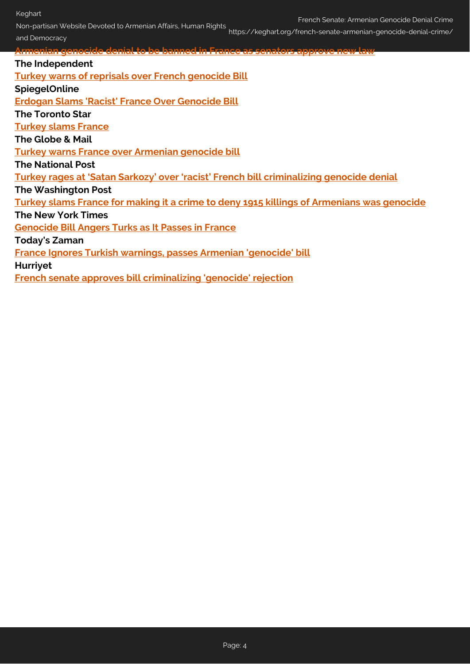Keghart

Non-partisan Website Devoted to Armenian Affairs, Human Rights French Senate: Armenian Genocide Denial Crime

and Democracy https://keghart.org/french-senate-armenian-genocide-denial-crime/

**[Armenian genocide denial to be banned in France as senators approve new law](http://www.guardian.co.uk/world/2012/jan/23/armenian-genocide-denial-ban-france?INTCMP=SRCH) The Independent [Turkey warns of reprisals over French genocide Bill](http://www.independent.co.uk/news/world/europe/turkey-warns-of-reprisals-over-french-genocide-bill-6293713.html) SpiegelOnline [Erdogan Slams 'Racist' France Over Genocide Bill](http://www.spiegel.de/international/europe/0%2c1518%2c811118%2c00.html#ref%3dnlint) The Toronto Star [Turkey slams France](http://www.thestar.com/news/world/article/1120625--turkey-slams-france-for-making-it-a-crime-to-deny-1915-killings-of-armenians-was-genocide) The Globe & Mail [Turkey warns France over Armenian genocide bill](http://www.theglobeandmail.com/news/world/turkey-warns-france-over-armenian-genocide-bill/article2312666/?utm_medium=Feeds%3A%20RSS%2FAtom&utm_source=World&utm_content=2312666) The National Post [Turkey rages at 'Satan Sarkozy' over 'racist' French bill criminalizing genocide denial](http://news.nationalpost.com/2012/01/24/turkey-rages-at-satan-sarkozy-over-racist-french-bill-criminalizing-genocide-denial/) The Washington Post [Turkey slams France for making it a crime to deny 1915 killings of Armenians was genocide](http://www.washingtonpost.com/world/middle-east/turkey-slams-france-for-making-it-a-crime-to-deny-1915-killings-of-armenians-was-genocide/2012/01/24/gIQArB7mMQ_story.html) The New York Times [Genocide Bill Angers Turks as It Passes in France](http://www.nytimes.com/2012/01/24/world/europe/french-senate-passes-genocide-bill-angering-turks.html?scp=1&sq=French%20Senate&st=cse) Today's Zaman [France Ignores Turkish warnings, passes Armenian 'genocide' bill](http://www.todayszaman.com/news-269321-.html) Hurriyet**

**[French senate approves bill criminalizing 'genocide' rejection](http://www.hurriyetdailynews.com/french-senate-approves-bill-criminalizing-genocide-rejection.aspx?pageID=238&nID=12107&NewsCatID=351)**